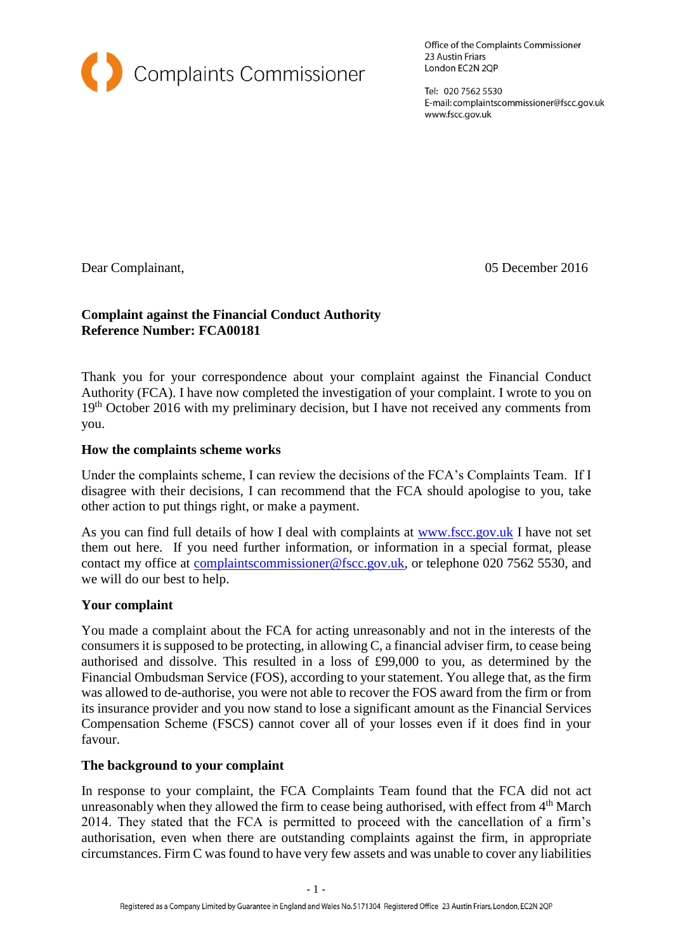

Office of the Complaints Commissioner 23 Austin Friars London EC2N 2QP

Tel: 020 7562 5530 E-mail: complaintscommissioner@fscc.gov.uk www.fscc.gov.uk

Dear Complainant, 05 December 2016

## **Complaint against the Financial Conduct Authority Reference Number: FCA00181**

Thank you for your correspondence about your complaint against the Financial Conduct Authority (FCA). I have now completed the investigation of your complaint. I wrote to you on 19<sup>th</sup> October 2016 with my preliminary decision, but I have not received any comments from you.

## **How the complaints scheme works**

Under the complaints scheme, I can review the decisions of the FCA's Complaints Team. If I disagree with their decisions, I can recommend that the FCA should apologise to you, take other action to put things right, or make a payment.

As you can find full details of how I deal with complaints at [www.fscc.gov.uk](http://www.fscc.gov.uk/) I have not set them out here. If you need further information, or information in a special format, please contact my office at [complaintscommissioner@fscc.gov.uk,](mailto:complaintscommissioner@fscc.gov.uk) or telephone 020 7562 5530, and we will do our best to help.

#### **Your complaint**

You made a complaint about the FCA for acting unreasonably and not in the interests of the consumers it is supposed to be protecting, in allowing C, a financial adviser firm, to cease being authorised and dissolve. This resulted in a loss of £99,000 to you, as determined by the Financial Ombudsman Service (FOS), according to your statement. You allege that, as the firm was allowed to de-authorise, you were not able to recover the FOS award from the firm or from its insurance provider and you now stand to lose a significant amount as the Financial Services Compensation Scheme (FSCS) cannot cover all of your losses even if it does find in your favour.

#### **The background to your complaint**

In response to your complaint, the FCA Complaints Team found that the FCA did not act unreasonably when they allowed the firm to cease being authorised, with effect from  $4<sup>th</sup>$  March 2014. They stated that the FCA is permitted to proceed with the cancellation of a firm's authorisation, even when there are outstanding complaints against the firm, in appropriate circumstances. Firm C was found to have very few assets and was unable to cover any liabilities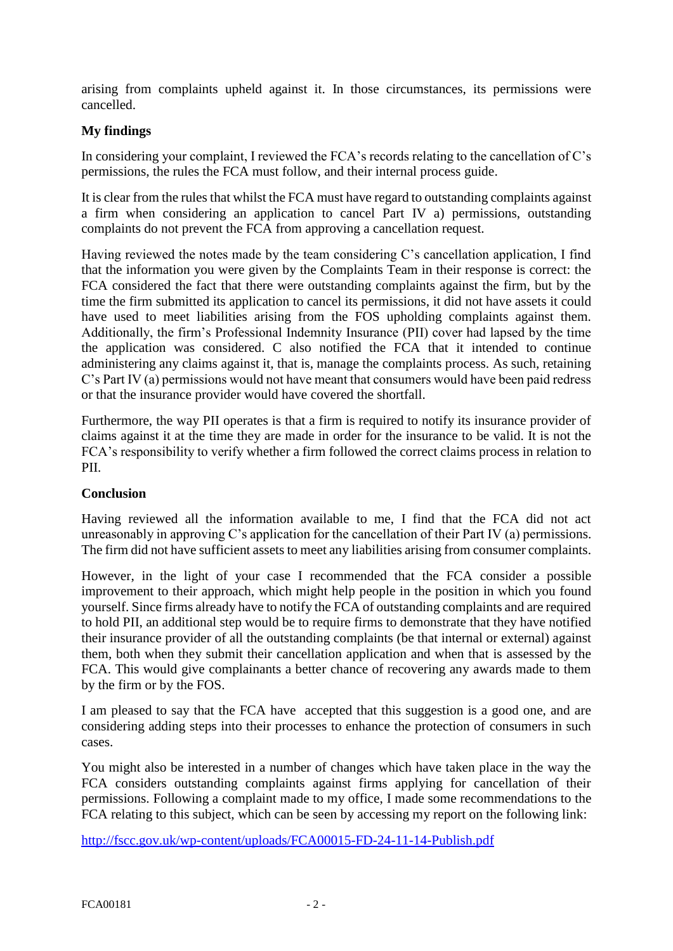arising from complaints upheld against it. In those circumstances, its permissions were cancelled.

# **My findings**

In considering your complaint, I reviewed the FCA's records relating to the cancellation of C's permissions, the rules the FCA must follow, and their internal process guide.

It is clear from the rules that whilst the FCA must have regard to outstanding complaints against a firm when considering an application to cancel Part IV a) permissions, outstanding complaints do not prevent the FCA from approving a cancellation request.

Having reviewed the notes made by the team considering C's cancellation application, I find that the information you were given by the Complaints Team in their response is correct: the FCA considered the fact that there were outstanding complaints against the firm, but by the time the firm submitted its application to cancel its permissions, it did not have assets it could have used to meet liabilities arising from the FOS upholding complaints against them. Additionally, the firm's Professional Indemnity Insurance (PII) cover had lapsed by the time the application was considered. C also notified the FCA that it intended to continue administering any claims against it, that is, manage the complaints process. As such, retaining C's Part IV (a) permissions would not have meant that consumers would have been paid redress or that the insurance provider would have covered the shortfall.

Furthermore, the way PII operates is that a firm is required to notify its insurance provider of claims against it at the time they are made in order for the insurance to be valid. It is not the FCA's responsibility to verify whether a firm followed the correct claims process in relation to PII.

## **Conclusion**

Having reviewed all the information available to me, I find that the FCA did not act unreasonably in approving C's application for the cancellation of their Part IV (a) permissions. The firm did not have sufficient assets to meet any liabilities arising from consumer complaints.

However, in the light of your case I recommended that the FCA consider a possible improvement to their approach, which might help people in the position in which you found yourself. Since firms already have to notify the FCA of outstanding complaints and are required to hold PII, an additional step would be to require firms to demonstrate that they have notified their insurance provider of all the outstanding complaints (be that internal or external) against them, both when they submit their cancellation application and when that is assessed by the FCA. This would give complainants a better chance of recovering any awards made to them by the firm or by the FOS.

I am pleased to say that the FCA have accepted that this suggestion is a good one, and are considering adding steps into their processes to enhance the protection of consumers in such cases.

You might also be interested in a number of changes which have taken place in the way the FCA considers outstanding complaints against firms applying for cancellation of their permissions. Following a complaint made to my office, I made some recommendations to the FCA relating to this subject, which can be seen by accessing my report on the following link:

<http://fscc.gov.uk/wp-content/uploads/FCA00015-FD-24-11-14-Publish.pdf>